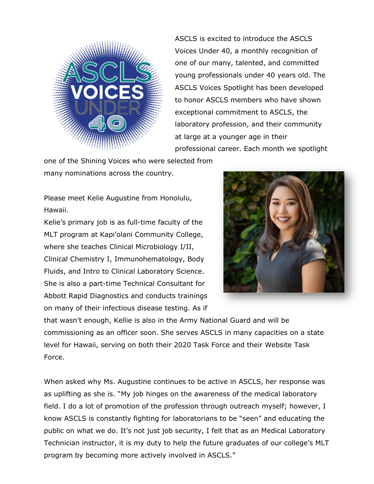

ASCLS is excited to introduce the ASCLS Voices Under 40, a monthly recognition of one of our many, talented, and committed young professionals under 40 years old. The ASCLS Voices Spotlight has been developed to honor ASCLS members who have shown exceptional commitment to ASCLS, the laboratory profession, and their community at large at a younger age in their professional career. Each month we spotlight

one of the Shining Voices who were selected from many nominations across the country.

Please meet Kelie Augustine from Honolulu, Hawaii.

Kelie's primary job is as full-time faculty of the MLT program at Kapi'olani Community College, where she teaches Clinical Microbiology I/II, Clinical Chemistry I, Immunohematology, Body Fluids, and Intro to Clinical Laboratory Science. She is also a part-time Technical Consultant for Abbott Rapid Diagnostics and conducts trainings on many of their infectious disease testing. As if



that wasn't enough, Kellie is also in the Army National Guard and will be commissioning as an officer soon. She serves ASCLS in many capacities on a state level for Hawaii, serving on both their 2020 Task Force and their Website Task Force.

When asked why Ms. Augustine continues to be active in ASCLS, her response was as uplifting as she is. "My job hinges on the awareness of the medical laboratory field. I do a lot of promotion of the profession through outreach myself; however, I know ASCLS is constantly fighting for laboratorians to be "seen" and educating the public on what we do. It's not just job security, I felt that as an Medical Laboratory Technician instructor, it is my duty to help the future graduates of our college's MLT program by becoming more actively involved in ASCLS."